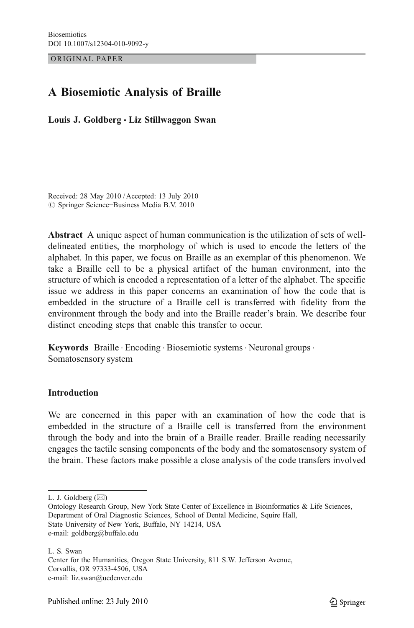ORIGINAL PAPER

# A Biosemiotic Analysis of Braille

Louis J. Goldberg · Liz Stillwaggon Swan

Received: 28 May 2010 / Accepted: 13 July 2010  $\oslash$  Springer Science+Business Media B.V. 2010

Abstract A unique aspect of human communication is the utilization of sets of welldelineated entities, the morphology of which is used to encode the letters of the alphabet. In this paper, we focus on Braille as an exemplar of this phenomenon. We take a Braille cell to be a physical artifact of the human environment, into the structure of which is encoded a representation of a letter of the alphabet. The specific issue we address in this paper concerns an examination of how the code that is embedded in the structure of a Braille cell is transferred with fidelity from the environment through the body and into the Braille reader's brain. We describe four distinct encoding steps that enable this transfer to occur.

Keywords Braille · Encoding · Biosemiotic systems · Neuronal groups · Somatosensory system

# **Introduction**

We are concerned in this paper with an examination of how the code that is embedded in the structure of a Braille cell is transferred from the environment through the body and into the brain of a Braille reader. Braille reading necessarily engages the tactile sensing components of the body and the somatosensory system of the brain. These factors make possible a close analysis of the code transfers involved

L. J. Goldberg  $(\boxtimes)$ 

Ontology Research Group, New York State Center of Excellence in Bioinformatics & Life Sciences, Department of Oral Diagnostic Sciences, School of Dental Medicine, Squire Hall, State University of New York, Buffalo, NY 14214, USA

e-mail: goldberg@buffalo.edu

L. S. Swan Center for the Humanities, Oregon State University, 811 S.W. Jefferson Avenue, Corvallis, OR 97333-4506, USA e-mail: liz.swan@ucdenver.edu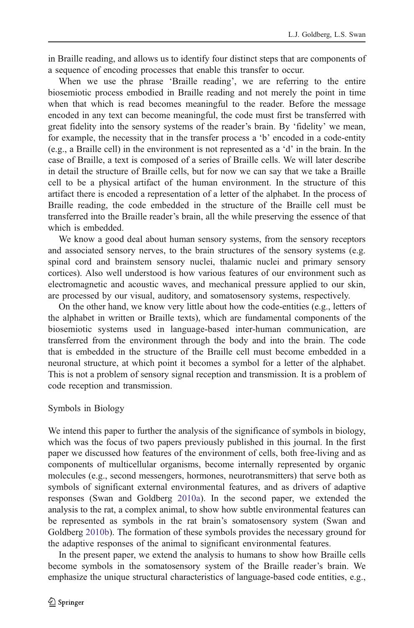in Braille reading, and allows us to identify four distinct steps that are components of a sequence of encoding processes that enable this transfer to occur.

When we use the phrase 'Braille reading', we are referring to the entire biosemiotic process embodied in Braille reading and not merely the point in time when that which is read becomes meaningful to the reader. Before the message encoded in any text can become meaningful, the code must first be transferred with great fidelity into the sensory systems of the reader's brain. By 'fidelity' we mean, for example, the necessity that in the transfer process a 'b' encoded in a code-entity (e.g., a Braille cell) in the environment is not represented as a 'd' in the brain. In the case of Braille, a text is composed of a series of Braille cells. We will later describe in detail the structure of Braille cells, but for now we can say that we take a Braille cell to be a physical artifact of the human environment. In the structure of this artifact there is encoded a representation of a letter of the alphabet. In the process of Braille reading, the code embedded in the structure of the Braille cell must be transferred into the Braille reader's brain, all the while preserving the essence of that which is embedded.

We know a good deal about human sensory systems, from the sensory receptors and associated sensory nerves, to the brain structures of the sensory systems (e.g. spinal cord and brainstem sensory nuclei, thalamic nuclei and primary sensory cortices). Also well understood is how various features of our environment such as electromagnetic and acoustic waves, and mechanical pressure applied to our skin, are processed by our visual, auditory, and somatosensory systems, respectively.

On the other hand, we know very little about how the code-entities (e.g., letters of the alphabet in written or Braille texts), which are fundamental components of the biosemiotic systems used in language-based inter-human communication, are transferred from the environment through the body and into the brain. The code that is embedded in the structure of the Braille cell must become embedded in a neuronal structure, at which point it becomes a symbol for a letter of the alphabet. This is not a problem of sensory signal reception and transmission. It is a problem of code reception and transmission.

# Symbols in Biology

We intend this paper to further the analysis of the significance of symbols in biology, which was the focus of two papers previously published in this journal. In the first paper we discussed how features of the environment of cells, both free-living and as components of multicellular organisms, become internally represented by organic molecules (e.g., second messengers, hormones, neurotransmitters) that serve both as symbols of significant external environmental features, and as drivers of adaptive responses (Swan and Goldberg [2010a\)](#page-13-0). In the second paper, we extended the analysis to the rat, a complex animal, to show how subtle environmental features can be represented as symbols in the rat brain's somatosensory system (Swan and Goldberg [2010b\)](#page-13-0). The formation of these symbols provides the necessary ground for the adaptive responses of the animal to significant environmental features.

In the present paper, we extend the analysis to humans to show how Braille cells become symbols in the somatosensory system of the Braille reader's brain. We emphasize the unique structural characteristics of language-based code entities, e.g.,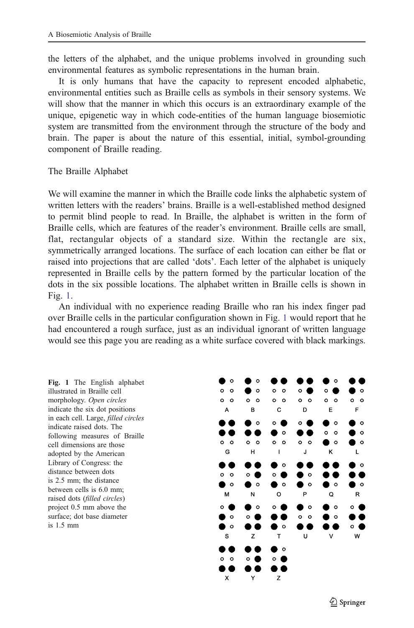<span id="page-2-0"></span>the letters of the alphabet, and the unique problems involved in grounding such environmental features as symbolic representations in the human brain.

It is only humans that have the capacity to represent encoded alphabetic, environmental entities such as Braille cells as symbols in their sensory systems. We will show that the manner in which this occurs is an extraordinary example of the unique, epigenetic way in which code-entities of the human language biosemiotic system are transmitted from the environment through the structure of the body and brain. The paper is about the nature of this essential, initial, symbol-grounding component of Braille reading.

#### The Braille Alphabet

We will examine the manner in which the Braille code links the alphabetic system of written letters with the readers' brains. Braille is a well-established method designed to permit blind people to read. In Braille, the alphabet is written in the form of Braille cells, which are features of the reader's environment. Braille cells are small, flat, rectangular objects of a standard size. Within the rectangle are six, symmetrically arranged locations. The surface of each location can either be flat or raised into projections that are called 'dots'. Each letter of the alphabet is uniquely represented in Braille cells by the pattern formed by the particular location of the dots in the six possible locations. The alphabet written in Braille cells is shown in Fig. 1.

An individual with no experience reading Braille who ran his index finger pad over Braille cells in the particular configuration shown in Fig. 1 would report that he had encountered a rough surface, just as an individual ignorant of written language would see this page you are reading as a white surface covered with black markings.

Fig. 1 The English alphabet illustrated in Braille cell morphology. Open circles indicate the six dot positions in each cell. Large, filled circles indicate raised dots. The following measures of Braille cell dimensions are those adopted by the American Library of Congress: the distance between dots is 2.5 mm; the distance between cells is 6.0 mm; raised dots (filled circles) project 0.5 mm above the surface; dot base diameter is 1.5 mm

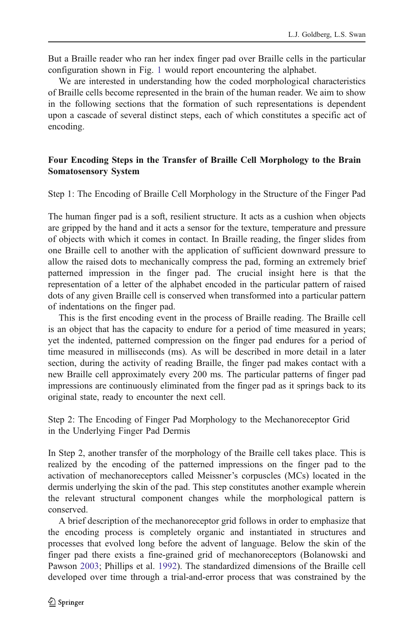But a Braille reader who ran her index finger pad over Braille cells in the particular configuration shown in Fig. [1](#page-2-0) would report encountering the alphabet.

We are interested in understanding how the coded morphological characteristics of Braille cells become represented in the brain of the human reader. We aim to show in the following sections that the formation of such representations is dependent upon a cascade of several distinct steps, each of which constitutes a specific act of encoding.

# Four Encoding Steps in the Transfer of Braille Cell Morphology to the Brain Somatosensory System

Step 1: The Encoding of Braille Cell Morphology in the Structure of the Finger Pad

The human finger pad is a soft, resilient structure. It acts as a cushion when objects are gripped by the hand and it acts a sensor for the texture, temperature and pressure of objects with which it comes in contact. In Braille reading, the finger slides from one Braille cell to another with the application of sufficient downward pressure to allow the raised dots to mechanically compress the pad, forming an extremely brief patterned impression in the finger pad. The crucial insight here is that the representation of a letter of the alphabet encoded in the particular pattern of raised dots of any given Braille cell is conserved when transformed into a particular pattern of indentations on the finger pad.

This is the first encoding event in the process of Braille reading. The Braille cell is an object that has the capacity to endure for a period of time measured in years; yet the indented, patterned compression on the finger pad endures for a period of time measured in milliseconds (ms). As will be described in more detail in a later section, during the activity of reading Braille, the finger pad makes contact with a new Braille cell approximately every 200 ms. The particular patterns of finger pad impressions are continuously eliminated from the finger pad as it springs back to its original state, ready to encounter the next cell.

Step 2: The Encoding of Finger Pad Morphology to the Mechanoreceptor Grid in the Underlying Finger Pad Dermis

In Step 2, another transfer of the morphology of the Braille cell takes place. This is realized by the encoding of the patterned impressions on the finger pad to the activation of mechanoreceptors called Meissner's corpuscles (MCs) located in the dermis underlying the skin of the pad. This step constitutes another example wherein the relevant structural component changes while the morphological pattern is conserved.

A brief description of the mechanoreceptor grid follows in order to emphasize that the encoding process is completely organic and instantiated in structures and processes that evolved long before the advent of language. Below the skin of the finger pad there exists a fine-grained grid of mechanoreceptors (Bolanowski and Pawson [2003](#page-13-0); Phillips et al. [1992\)](#page-13-0). The standardized dimensions of the Braille cell developed over time through a trial-and-error process that was constrained by the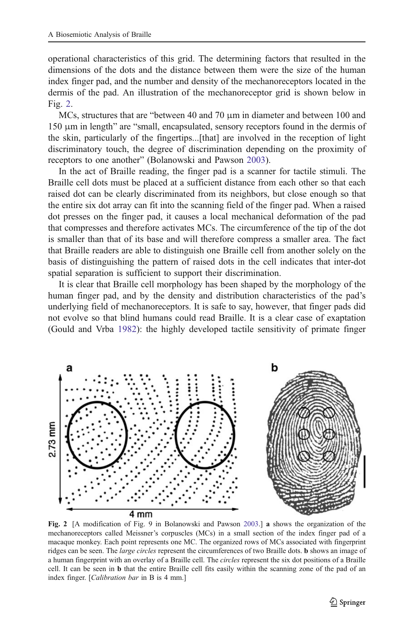operational characteristics of this grid. The determining factors that resulted in the dimensions of the dots and the distance between them were the size of the human index finger pad, and the number and density of the mechanoreceptors located in the dermis of the pad. An illustration of the mechanoreceptor grid is shown below in Fig. 2.

MCs, structures that are "between 40 and 70 μm in diameter and between 100 and 150 μm in length" are "small, encapsulated, sensory receptors found in the dermis of the skin, particularly of the fingertips...[that] are involved in the reception of light discriminatory touch, the degree of discrimination depending on the proximity of receptors to one another" (Bolanowski and Pawson [2003\)](#page-13-0).

In the act of Braille reading, the finger pad is a scanner for tactile stimuli. The Braille cell dots must be placed at a sufficient distance from each other so that each raised dot can be clearly discriminated from its neighbors, but close enough so that the entire six dot array can fit into the scanning field of the finger pad. When a raised dot presses on the finger pad, it causes a local mechanical deformation of the pad that compresses and therefore activates MCs. The circumference of the tip of the dot is smaller than that of its base and will therefore compress a smaller area. The fact that Braille readers are able to distinguish one Braille cell from another solely on the basis of distinguishing the pattern of raised dots in the cell indicates that inter-dot spatial separation is sufficient to support their discrimination.

It is clear that Braille cell morphology has been shaped by the morphology of the human finger pad, and by the density and distribution characteristics of the pad's underlying field of mechanoreceptors. It is safe to say, however, that finger pads did not evolve so that blind humans could read Braille. It is a clear case of exaptation (Gould and Vrba [1982](#page-13-0)): the highly developed tactile sensitivity of primate finger



Fig. 2 [A modification of Fig. 9 in Bolanowski and Pawson [2003.](#page-13-0)] a shows the organization of the mechanoreceptors called Meissner's corpuscles (MCs) in a small section of the index finger pad of a macaque monkey. Each point represents one MC. The organized rows of MCs associated with fingerprint ridges can be seen. The *large circles* represent the circumferences of two Braille dots. **b** shows an image of a human fingerprint with an overlay of a Braille cell. The circles represent the six dot positions of a Braille cell. It can be seen in b that the entire Braille cell fits easily within the scanning zone of the pad of an index finger. [Calibration bar in B is 4 mm.]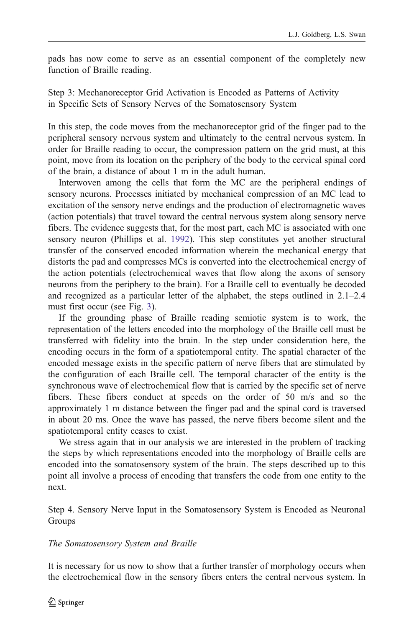pads has now come to serve as an essential component of the completely new function of Braille reading.

Step 3: Mechanoreceptor Grid Activation is Encoded as Patterns of Activity in Specific Sets of Sensory Nerves of the Somatosensory System

In this step, the code moves from the mechanoreceptor grid of the finger pad to the peripheral sensory nervous system and ultimately to the central nervous system. In order for Braille reading to occur, the compression pattern on the grid must, at this point, move from its location on the periphery of the body to the cervical spinal cord of the brain, a distance of about 1 m in the adult human.

Interwoven among the cells that form the MC are the peripheral endings of sensory neurons. Processes initiated by mechanical compression of an MC lead to excitation of the sensory nerve endings and the production of electromagnetic waves (action potentials) that travel toward the central nervous system along sensory nerve fibers. The evidence suggests that, for the most part, each MC is associated with one sensory neuron (Phillips et al. [1992](#page-13-0)). This step constitutes yet another structural transfer of the conserved encoded information wherein the mechanical energy that distorts the pad and compresses MCs is converted into the electrochemical energy of the action potentials (electrochemical waves that flow along the axons of sensory neurons from the periphery to the brain). For a Braille cell to eventually be decoded and recognized as a particular letter of the alphabet, the steps outlined in 2.1–2.4 must first occur (see Fig. [3\)](#page-6-0).

If the grounding phase of Braille reading semiotic system is to work, the representation of the letters encoded into the morphology of the Braille cell must be transferred with fidelity into the brain. In the step under consideration here, the encoding occurs in the form of a spatiotemporal entity. The spatial character of the encoded message exists in the specific pattern of nerve fibers that are stimulated by the configuration of each Braille cell. The temporal character of the entity is the synchronous wave of electrochemical flow that is carried by the specific set of nerve fibers. These fibers conduct at speeds on the order of 50 m/s and so the approximately 1 m distance between the finger pad and the spinal cord is traversed in about 20 ms. Once the wave has passed, the nerve fibers become silent and the spatiotemporal entity ceases to exist.

We stress again that in our analysis we are interested in the problem of tracking the steps by which representations encoded into the morphology of Braille cells are encoded into the somatosensory system of the brain. The steps described up to this point all involve a process of encoding that transfers the code from one entity to the next.

Step 4. Sensory Nerve Input in the Somatosensory System is Encoded as Neuronal Groups

# The Somatosensory System and Braille

It is necessary for us now to show that a further transfer of morphology occurs when the electrochemical flow in the sensory fibers enters the central nervous system. In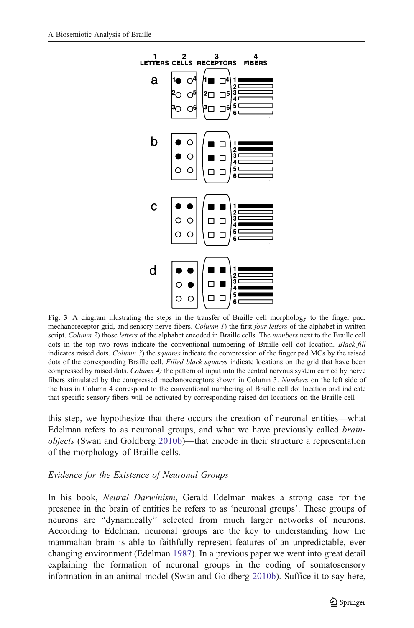<span id="page-6-0"></span>

Fig. 3 A diagram illustrating the steps in the transfer of Braille cell morphology to the finger pad, mechanoreceptor grid, and sensory nerve fibers. *Column 1*) the first *four letters* of the alphabet in written script. Column 2) those letters of the alphabet encoded in Braille cells. The numbers next to the Braille cell dots in the top two rows indicate the conventional numbering of Braille cell dot location. Black-fill indicates raised dots. *Column 3*) the *squares* indicate the compression of the finger pad MCs by the raised dots of the corresponding Braille cell. Filled black squares indicate locations on the grid that have been compressed by raised dots. Column 4) the pattern of input into the central nervous system carried by nerve fibers stimulated by the compressed mechanoreceptors shown in Column 3. Numbers on the left side of the bars in Column 4 correspond to the conventional numbering of Braille cell dot location and indicate that specific sensory fibers will be activated by corresponding raised dot locations on the Braille cell

this step, we hypothesize that there occurs the creation of neuronal entities—what Edelman refers to as neuronal groups, and what we have previously called *brain*objects (Swan and Goldberg [2010b](#page-13-0))—that encode in their structure a representation of the morphology of Braille cells.

# Evidence for the Existence of Neuronal Groups

In his book, Neural Darwinism, Gerald Edelman makes a strong case for the presence in the brain of entities he refers to as 'neuronal groups'. These groups of neurons are "dynamically" selected from much larger networks of neurons. According to Edelman, neuronal groups are the key to understanding how the mammalian brain is able to faithfully represent features of an unpredictable, ever changing environment (Edelman [1987](#page-13-0)). In a previous paper we went into great detail explaining the formation of neuronal groups in the coding of somatosensory information in an animal model (Swan and Goldberg [2010b](#page-13-0)). Suffice it to say here,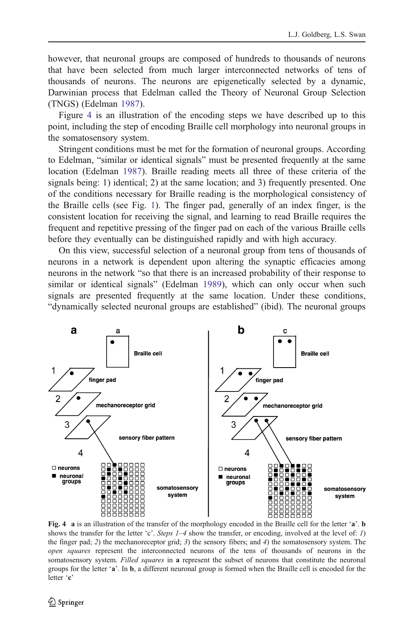<span id="page-7-0"></span>however, that neuronal groups are composed of hundreds to thousands of neurons that have been selected from much larger interconnected networks of tens of thousands of neurons. The neurons are epigenetically selected by a dynamic, Darwinian process that Edelman called the Theory of Neuronal Group Selection (TNGS) (Edelman [1987](#page-13-0)).

Figure 4 is an illustration of the encoding steps we have described up to this point, including the step of encoding Braille cell morphology into neuronal groups in the somatosensory system.

Stringent conditions must be met for the formation of neuronal groups. According to Edelman, "similar or identical signals" must be presented frequently at the same location (Edelman [1987\)](#page-13-0). Braille reading meets all three of these criteria of the signals being: 1) identical; 2) at the same location; and 3) frequently presented. One of the conditions necessary for Braille reading is the morphological consistency of the Braille cells (see Fig. [1\)](#page-2-0). The finger pad, generally of an index finger, is the consistent location for receiving the signal, and learning to read Braille requires the frequent and repetitive pressing of the finger pad on each of the various Braille cells before they eventually can be distinguished rapidly and with high accuracy.

On this view, successful selection of a neuronal group from tens of thousands of neurons in a network is dependent upon altering the synaptic efficacies among neurons in the network "so that there is an increased probability of their response to similar or identical signals" (Edelman [1989](#page-13-0)), which can only occur when such signals are presented frequently at the same location. Under these conditions, "dynamically selected neuronal groups are established" (ibid). The neuronal groups



shows the transfer for the letter 'c'. Steps  $1-4$  show the transfer, or encoding, involved at the level of: 1) the finger pad; 2) the mechanoreceptor grid; 3) the sensory fibers; and 4) the somatosensory system. The open squares represent the interconnected neurons of the tens of thousands of neurons in the somatosensory system. Filled squares in a represent the subset of neurons that constitute the neuronal groups for the letter 'a'. In b, a different neuronal group is formed when the Braille cell is encoded for the letter 'c'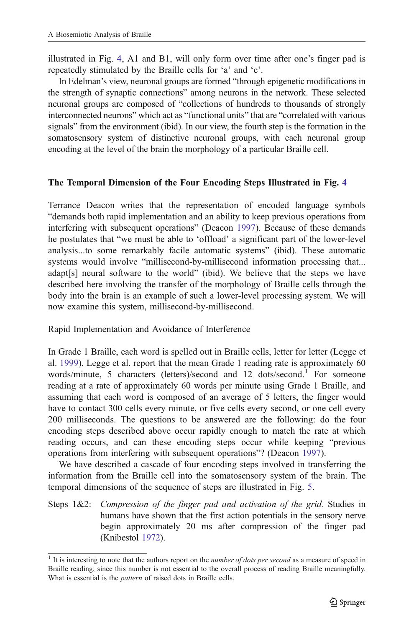illustrated in Fig. [4](#page-7-0), A1 and B1, will only form over time after one's finger pad is repeatedly stimulated by the Braille cells for 'a' and 'c'.

In Edelman's view, neuronal groups are formed "through epigenetic modifications in the strength of synaptic connections" among neurons in the network. These selected neuronal groups are composed of "collections of hundreds to thousands of strongly interconnected neurons" which act as "functional units" that are "correlated with various signals" from the environment (ibid). In our view, the fourth step is the formation in the somatosensory system of distinctive neuronal groups, with each neuronal group encoding at the level of the brain the morphology of a particular Braille cell.

# The Temporal Dimension of the Four Encoding Steps Illustrated in Fig. [4](#page-7-0)

Terrance Deacon writes that the representation of encoded language symbols "demands both rapid implementation and an ability to keep previous operations from interfering with subsequent operations" (Deacon [1997](#page-13-0)). Because of these demands he postulates that "we must be able to 'offload' a significant part of the lower-level analysis...to some remarkably facile automatic systems" (ibid). These automatic systems would involve "millisecond-by-millisecond information processing that... adapt[s] neural software to the world" (ibid). We believe that the steps we have described here involving the transfer of the morphology of Braille cells through the body into the brain is an example of such a lower-level processing system. We will now examine this system, millisecond-by-millisecond.

Rapid Implementation and Avoidance of Interference

In Grade 1 Braille, each word is spelled out in Braille cells, letter for letter (Legge et al. [1999](#page-13-0)). Legge et al. report that the mean Grade 1 reading rate is approximately 60 words/minute, 5 characters (letters)/second and 12 dots/second.<sup>1</sup> For someone reading at a rate of approximately 60 words per minute using Grade 1 Braille, and assuming that each word is composed of an average of 5 letters, the finger would have to contact 300 cells every minute, or five cells every second, or one cell every 200 milliseconds. The questions to be answered are the following: do the four encoding steps described above occur rapidly enough to match the rate at which reading occurs, and can these encoding steps occur while keeping "previous operations from interfering with subsequent operations"? (Deacon [1997\)](#page-13-0).

We have described a cascade of four encoding steps involved in transferring the information from the Braille cell into the somatosensory system of the brain. The temporal dimensions of the sequence of steps are illustrated in Fig. [5.](#page-9-0)

Steps 1&2: Compression of the finger pad and activation of the grid. Studies in humans have shown that the first action potentials in the sensory nerve begin approximately 20 ms after compression of the finger pad (Knibestol [1972](#page-13-0)).

 $1$  It is interesting to note that the authors report on the *number of dots per second* as a measure of speed in Braille reading, since this number is not essential to the overall process of reading Braille meaningfully. What is essential is the *pattern* of raised dots in Braille cells.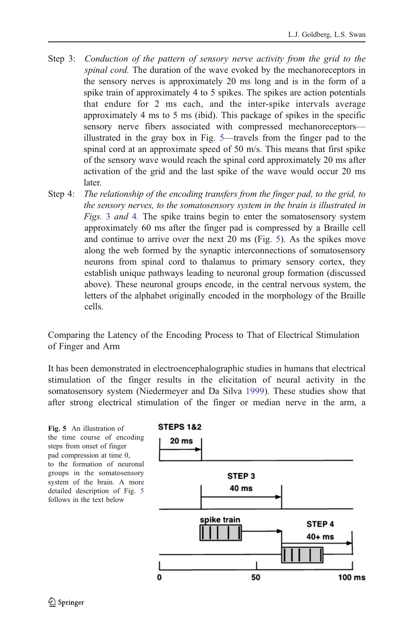- <span id="page-9-0"></span>Step 3: Conduction of the pattern of sensory nerve activity from the grid to the spinal cord. The duration of the wave evoked by the mechanoreceptors in the sensory nerves is approximately 20 ms long and is in the form of a spike train of approximately 4 to 5 spikes. The spikes are action potentials that endure for 2 ms each, and the inter-spike intervals average approximately 4 ms to 5 ms (ibid). This package of spikes in the specific sensory nerve fibers associated with compressed mechanoreceptors illustrated in the gray box in Fig. 5—travels from the finger pad to the spinal cord at an approximate speed of 50 m/s. This means that first spike of the sensory wave would reach the spinal cord approximately 20 ms after activation of the grid and the last spike of the wave would occur 20 ms later.
- Step 4: The relationship of the encoding transfers from the finger pad, to the grid, to the sensory nerves, to the somatosensory system in the brain is illustrated in Figs. [3](#page-6-0) and [4](#page-7-0). The spike trains begin to enter the somatosensory system approximately 60 ms after the finger pad is compressed by a Braille cell and continue to arrive over the next 20 ms (Fig. 5). As the spikes move along the web formed by the synaptic interconnections of somatosensory neurons from spinal cord to thalamus to primary sensory cortex, they establish unique pathways leading to neuronal group formation (discussed above). These neuronal groups encode, in the central nervous system, the letters of the alphabet originally encoded in the morphology of the Braille cells.

Comparing the Latency of the Encoding Process to That of Electrical Stimulation of Finger and Arm

It has been demonstrated in electroencephalographic studies in humans that electrical stimulation of the finger results in the elicitation of neural activity in the somatosensory system (Niedermeyer and Da Silva [1999\)](#page-13-0). These studies show that after strong electrical stimulation of the finger or median nerve in the arm, a

Fig. 5 An illustration of the time course of encoding steps from onset of finger pad compression at time 0, to the formation of neuronal groups in the somatosensory system of the brain. A more detailed description of Fig. 5 follows in the text below

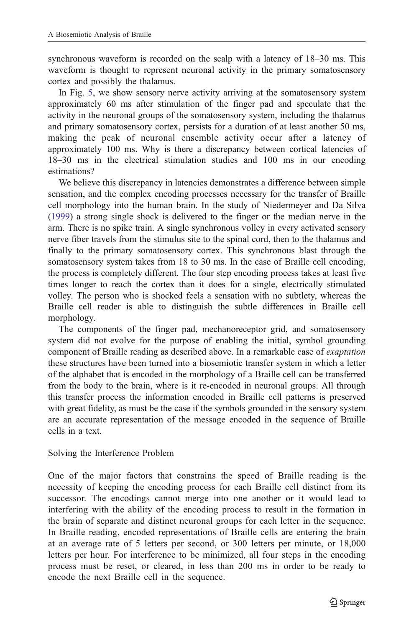synchronous waveform is recorded on the scalp with a latency of 18–30 ms. This waveform is thought to represent neuronal activity in the primary somatosensory cortex and possibly the thalamus.

In Fig. [5,](#page-9-0) we show sensory nerve activity arriving at the somatosensory system approximately 60 ms after stimulation of the finger pad and speculate that the activity in the neuronal groups of the somatosensory system, including the thalamus and primary somatosensory cortex, persists for a duration of at least another 50 ms, making the peak of neuronal ensemble activity occur after a latency of approximately 100 ms. Why is there a discrepancy between cortical latencies of 18–30 ms in the electrical stimulation studies and 100 ms in our encoding estimations?

We believe this discrepancy in latencies demonstrates a difference between simple sensation, and the complex encoding processes necessary for the transfer of Braille cell morphology into the human brain. In the study of Niedermeyer and Da Silva [\(1999](#page-13-0)) a strong single shock is delivered to the finger or the median nerve in the arm. There is no spike train. A single synchronous volley in every activated sensory nerve fiber travels from the stimulus site to the spinal cord, then to the thalamus and finally to the primary somatosensory cortex. This synchronous blast through the somatosensory system takes from 18 to 30 ms. In the case of Braille cell encoding, the process is completely different. The four step encoding process takes at least five times longer to reach the cortex than it does for a single, electrically stimulated volley. The person who is shocked feels a sensation with no subtlety, whereas the Braille cell reader is able to distinguish the subtle differences in Braille cell morphology.

The components of the finger pad, mechanoreceptor grid, and somatosensory system did not evolve for the purpose of enabling the initial, symbol grounding component of Braille reading as described above. In a remarkable case of exaptation these structures have been turned into a biosemiotic transfer system in which a letter of the alphabet that is encoded in the morphology of a Braille cell can be transferred from the body to the brain, where is it re-encoded in neuronal groups. All through this transfer process the information encoded in Braille cell patterns is preserved with great fidelity, as must be the case if the symbols grounded in the sensory system are an accurate representation of the message encoded in the sequence of Braille cells in a text.

# Solving the Interference Problem

One of the major factors that constrains the speed of Braille reading is the necessity of keeping the encoding process for each Braille cell distinct from its successor. The encodings cannot merge into one another or it would lead to interfering with the ability of the encoding process to result in the formation in the brain of separate and distinct neuronal groups for each letter in the sequence. In Braille reading, encoded representations of Braille cells are entering the brain at an average rate of 5 letters per second, or 300 letters per minute, or 18,000 letters per hour. For interference to be minimized, all four steps in the encoding process must be reset, or cleared, in less than 200 ms in order to be ready to encode the next Braille cell in the sequence.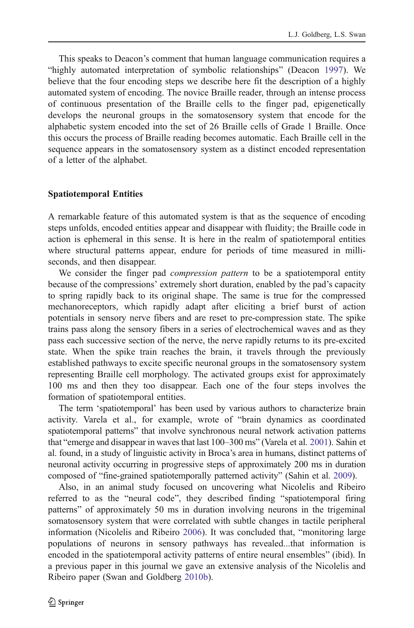This speaks to Deacon's comment that human language communication requires a "highly automated interpretation of symbolic relationships" (Deacon [1997](#page-13-0)). We believe that the four encoding steps we describe here fit the description of a highly automated system of encoding. The novice Braille reader, through an intense process of continuous presentation of the Braille cells to the finger pad, epigenetically develops the neuronal groups in the somatosensory system that encode for the alphabetic system encoded into the set of 26 Braille cells of Grade 1 Braille. Once this occurs the process of Braille reading becomes automatic. Each Braille cell in the sequence appears in the somatosensory system as a distinct encoded representation of a letter of the alphabet.

#### Spatiotemporal Entities

A remarkable feature of this automated system is that as the sequence of encoding steps unfolds, encoded entities appear and disappear with fluidity; the Braille code in action is ephemeral in this sense. It is here in the realm of spatiotemporal entities where structural patterns appear, endure for periods of time measured in milliseconds, and then disappear.

We consider the finger pad *compression pattern* to be a spatiotemporal entity because of the compressions' extremely short duration, enabled by the pad's capacity to spring rapidly back to its original shape. The same is true for the compressed mechanoreceptors, which rapidly adapt after eliciting a brief burst of action potentials in sensory nerve fibers and are reset to pre-compression state. The spike trains pass along the sensory fibers in a series of electrochemical waves and as they pass each successive section of the nerve, the nerve rapidly returns to its pre-excited state. When the spike train reaches the brain, it travels through the previously established pathways to excite specific neuronal groups in the somatosensory system representing Braille cell morphology. The activated groups exist for approximately 100 ms and then they too disappear. Each one of the four steps involves the formation of spatiotemporal entities.

The term 'spatiotemporal' has been used by various authors to characterize brain activity. Varela et al., for example, wrote of "brain dynamics as coordinated spatiotemporal patterns" that involve synchronous neural network activation patterns that "emerge and disappear in waves that last 100–300 ms" (Varela et al. [2001\)](#page-13-0). Sahin et al. found, in a study of linguistic activity in Broca's area in humans, distinct patterns of neuronal activity occurring in progressive steps of approximately 200 ms in duration composed of "fine-grained spatiotemporally patterned activity" (Sahin et al. [2009\)](#page-13-0).

Also, in an animal study focused on uncovering what Nicolelis and Ribeiro referred to as the "neural code", they described finding "spatiotemporal firing patterns" of approximately 50 ms in duration involving neurons in the trigeminal somatosensory system that were correlated with subtle changes in tactile peripheral information (Nicolelis and Ribeiro [2006](#page-13-0)). It was concluded that, "monitoring large populations of neurons in sensory pathways has revealed...that information is encoded in the spatiotemporal activity patterns of entire neural ensembles" (ibid). In a previous paper in this journal we gave an extensive analysis of the Nicolelis and Ribeiro paper (Swan and Goldberg [2010b\)](#page-13-0).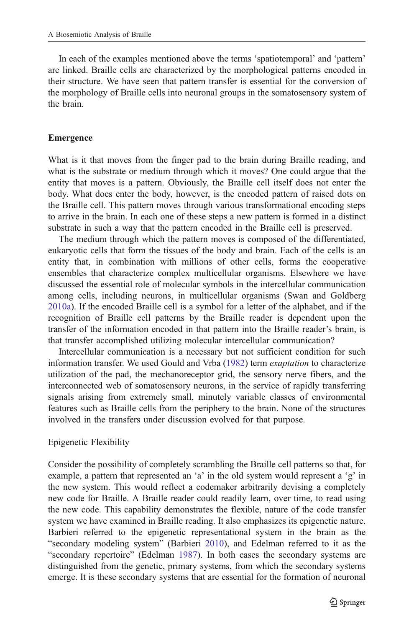In each of the examples mentioned above the terms 'spatiotemporal' and 'pattern' are linked. Braille cells are characterized by the morphological patterns encoded in their structure. We have seen that pattern transfer is essential for the conversion of the morphology of Braille cells into neuronal groups in the somatosensory system of the brain.

### Emergence

What is it that moves from the finger pad to the brain during Braille reading, and what is the substrate or medium through which it moves? One could argue that the entity that moves is a pattern. Obviously, the Braille cell itself does not enter the body. What does enter the body, however, is the encoded pattern of raised dots on the Braille cell. This pattern moves through various transformational encoding steps to arrive in the brain. In each one of these steps a new pattern is formed in a distinct substrate in such a way that the pattern encoded in the Braille cell is preserved.

The medium through which the pattern moves is composed of the differentiated, eukaryotic cells that form the tissues of the body and brain. Each of the cells is an entity that, in combination with millions of other cells, forms the cooperative ensembles that characterize complex multicellular organisms. Elsewhere we have discussed the essential role of molecular symbols in the intercellular communication among cells, including neurons, in multicellular organisms (Swan and Goldberg [2010a](#page-13-0)). If the encoded Braille cell is a symbol for a letter of the alphabet, and if the recognition of Braille cell patterns by the Braille reader is dependent upon the transfer of the information encoded in that pattern into the Braille reader's brain, is that transfer accomplished utilizing molecular intercellular communication?

Intercellular communication is a necessary but not sufficient condition for such information transfer. We used Gould and Vrba [\(1982](#page-13-0)) term exaptation to characterize utilization of the pad, the mechanoreceptor grid, the sensory nerve fibers, and the interconnected web of somatosensory neurons, in the service of rapidly transferring signals arising from extremely small, minutely variable classes of environmental features such as Braille cells from the periphery to the brain. None of the structures involved in the transfers under discussion evolved for that purpose.

# Epigenetic Flexibility

Consider the possibility of completely scrambling the Braille cell patterns so that, for example, a pattern that represented an 'a' in the old system would represent a 'g' in the new system. This would reflect a codemaker arbitrarily devising a completely new code for Braille. A Braille reader could readily learn, over time, to read using the new code. This capability demonstrates the flexible, nature of the code transfer system we have examined in Braille reading. It also emphasizes its epigenetic nature. Barbieri referred to the epigenetic representational system in the brain as the "secondary modeling system" (Barbieri [2010\)](#page-13-0), and Edelman referred to it as the "secondary repertoire" (Edelman [1987\)](#page-13-0). In both cases the secondary systems are distinguished from the genetic, primary systems, from which the secondary systems emerge. It is these secondary systems that are essential for the formation of neuronal